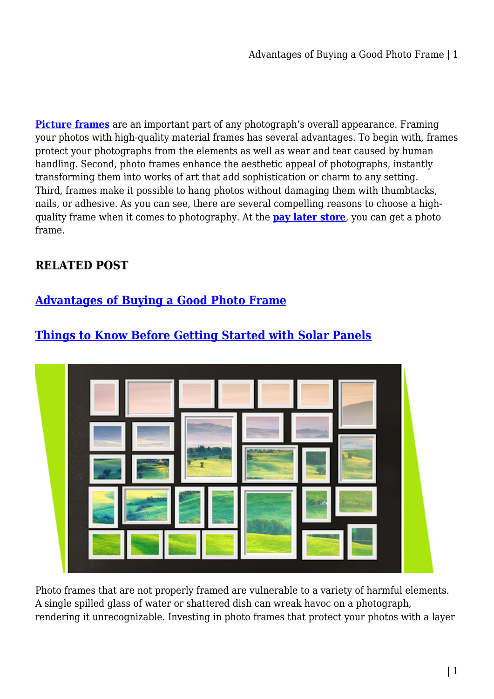**[Picture frames](https://paylateralligator.com.au/home-garden/photo-frame/)** are an important part of any photograph's overall appearance. Framing your photos with high-quality material frames has several advantages. To begin with, frames protect your photographs from the elements as well as wear and tear caused by human handling. Second, photo frames enhance the aesthetic appeal of photographs, instantly transforming them into works of art that add sophistication or charm to any setting. Third, frames make it possible to hang photos without damaging them with thumbtacks, nails, or adhesive. As you can see, there are several compelling reasons to choose a highquality frame when it comes to photography. At the **[pay later store](https://paylateralligator.com.au/)**, you can get a photo frame.

### **RELATED POST**

## **[Advantages of Buying a Good Photo Frame](https://bubbaearth.com.au/advantages-of-buying-a-good-photo-frame/)**



# **[Things to Know Before Getting Started with Solar Panels](https://bubbaearth.com.au/things-to-know-before-getting-started-with-solar-panels/)**

Photo frames that are not properly framed are vulnerable to a variety of harmful elements. A single spilled glass of water or shattered dish can wreak havoc on a photograph, rendering it unrecognizable. Investing in photo frames that protect your photos with a layer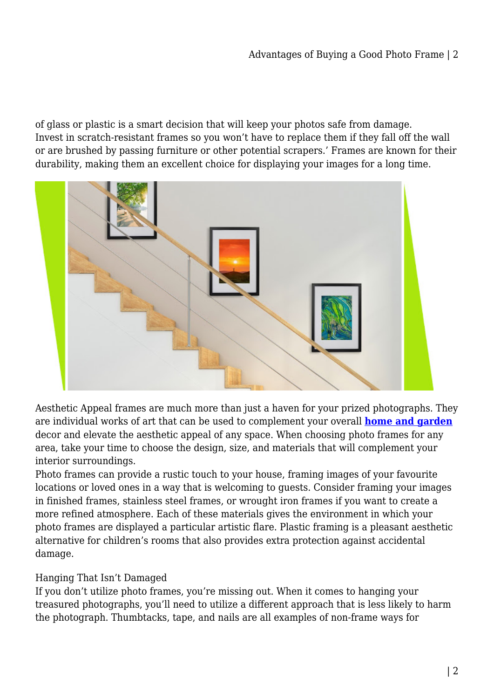of glass or plastic is a smart decision that will keep your photos safe from damage. Invest in scratch-resistant frames so you won't have to replace them if they fall off the wall or are brushed by passing furniture or other potential scrapers.' Frames are known for their durability, making them an excellent choice for displaying your images for a long time.



Aesthetic Appeal frames are much more than just a haven for your prized photographs. They are individual works of art that can be used to complement your overall **[home and garden](https://paylateralligator.com.au/home-garden/)** decor and elevate the aesthetic appeal of any space. When choosing photo frames for any area, take your time to choose the design, size, and materials that will complement your interior surroundings.

Photo frames can provide a rustic touch to your house, framing images of your favourite locations or loved ones in a way that is welcoming to guests. Consider framing your images in finished frames, stainless steel frames, or wrought iron frames if you want to create a more refined atmosphere. Each of these materials gives the environment in which your photo frames are displayed a particular artistic flare. Plastic framing is a pleasant aesthetic alternative for children's rooms that also provides extra protection against accidental damage.

### Hanging That Isn't Damaged

If you don't utilize photo frames, you're missing out. When it comes to hanging your treasured photographs, you'll need to utilize a different approach that is less likely to harm the photograph. Thumbtacks, tape, and nails are all examples of non-frame ways for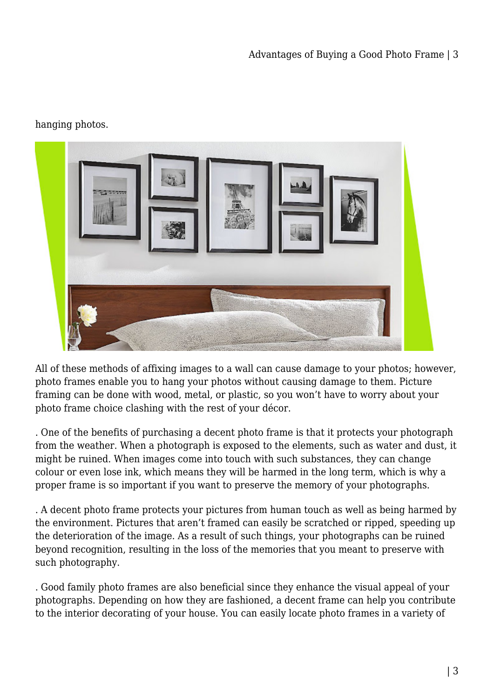### hanging photos.



All of these methods of affixing images to a wall can cause damage to your photos; however, photo frames enable you to hang your photos without causing damage to them. Picture framing can be done with wood, metal, or plastic, so you won't have to worry about your photo frame choice clashing with the rest of your décor.

. One of the benefits of purchasing a decent photo frame is that it protects your photograph from the weather. When a photograph is exposed to the elements, such as water and dust, it might be ruined. When images come into touch with such substances, they can change colour or even lose ink, which means they will be harmed in the long term, which is why a proper frame is so important if you want to preserve the memory of your photographs.

. A decent photo frame protects your pictures from human touch as well as being harmed by the environment. Pictures that aren't framed can easily be scratched or ripped, speeding up the deterioration of the image. As a result of such things, your photographs can be ruined beyond recognition, resulting in the loss of the memories that you meant to preserve with such photography.

. Good family photo frames are also beneficial since they enhance the visual appeal of your photographs. Depending on how they are fashioned, a decent frame can help you contribute to the interior decorating of your house. You can easily locate photo frames in a variety of